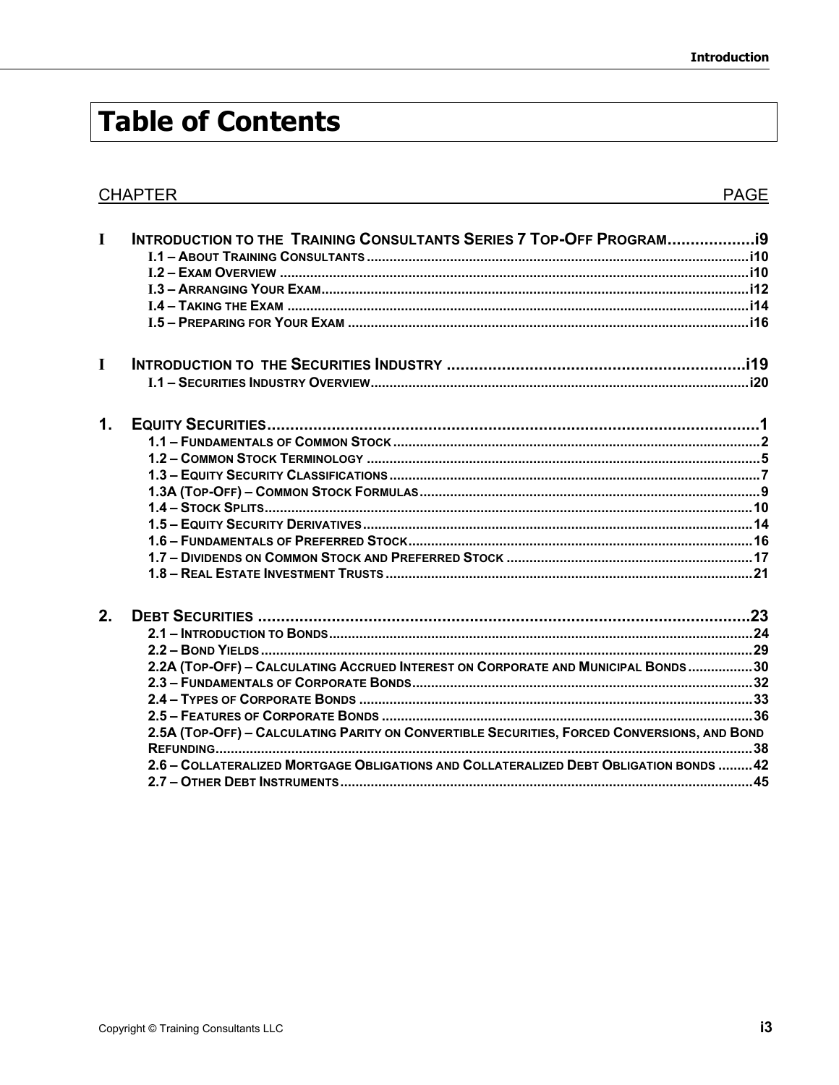## **Table of Contents**

|               | <b>CHAPTER</b>                                                                              | <b>PAGE</b> |
|---------------|---------------------------------------------------------------------------------------------|-------------|
|               |                                                                                             |             |
| $\mathbf I$   | INTRODUCTION TO THE TRAINING CONSULTANTS SERIES 7 TOP-OFF PROGRAM                           |             |
|               |                                                                                             |             |
|               |                                                                                             |             |
|               |                                                                                             |             |
|               |                                                                                             |             |
|               |                                                                                             |             |
| $\mathbf I$   |                                                                                             |             |
|               |                                                                                             |             |
| $\mathbf 1$ . |                                                                                             |             |
|               |                                                                                             |             |
|               |                                                                                             |             |
|               |                                                                                             |             |
|               |                                                                                             |             |
|               |                                                                                             |             |
|               |                                                                                             |             |
|               |                                                                                             |             |
|               |                                                                                             |             |
|               |                                                                                             |             |
| 2.            |                                                                                             |             |
|               |                                                                                             |             |
|               |                                                                                             |             |
|               | 2.2A (TOP-OFF) - CALCULATING ACCRUED INTEREST ON CORPORATE AND MUNICIPAL BONDS30            |             |
|               |                                                                                             |             |
|               |                                                                                             |             |
|               |                                                                                             |             |
|               | 2.5A (TOP-OFF) - CALCULATING PARITY ON CONVERTIBLE SECURITIES, FORCED CONVERSIONS, AND BOND |             |
|               |                                                                                             |             |
|               | 2.6 - COLLATERALIZED MORTGAGE OBLIGATIONS AND COLLATERALIZED DEBT OBLIGATION BONDS 42       |             |
|               |                                                                                             |             |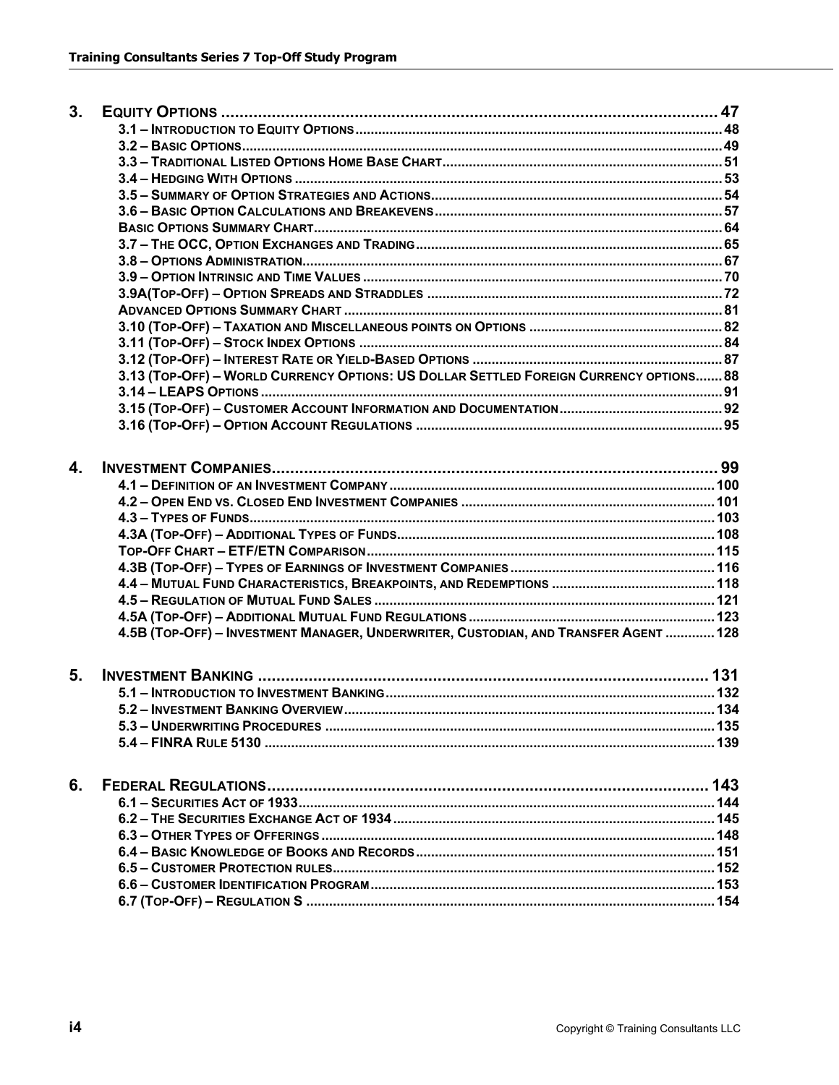| 3. |                                                                                        |  |
|----|----------------------------------------------------------------------------------------|--|
|    |                                                                                        |  |
|    |                                                                                        |  |
|    |                                                                                        |  |
|    |                                                                                        |  |
|    |                                                                                        |  |
|    |                                                                                        |  |
|    |                                                                                        |  |
|    |                                                                                        |  |
|    |                                                                                        |  |
|    |                                                                                        |  |
|    |                                                                                        |  |
|    |                                                                                        |  |
|    |                                                                                        |  |
|    |                                                                                        |  |
|    |                                                                                        |  |
|    | 3.13 (TOP-OFF) - WORLD CURRENCY OPTIONS: US DOLLAR SETTLED FOREIGN CURRENCY OPTIONS 88 |  |
|    |                                                                                        |  |
|    |                                                                                        |  |
|    |                                                                                        |  |
|    |                                                                                        |  |
| 4. |                                                                                        |  |
|    |                                                                                        |  |
|    |                                                                                        |  |
|    |                                                                                        |  |
|    |                                                                                        |  |
|    |                                                                                        |  |
|    |                                                                                        |  |
|    |                                                                                        |  |
|    |                                                                                        |  |
|    |                                                                                        |  |
|    | 4.5B (TOP-OFF) - INVESTMENT MANAGER, UNDERWRITER, CUSTODIAN, AND TRANSFER AGENT  128   |  |
|    |                                                                                        |  |
| 5. |                                                                                        |  |
|    |                                                                                        |  |
|    |                                                                                        |  |
|    |                                                                                        |  |
|    |                                                                                        |  |
| 6. |                                                                                        |  |
|    |                                                                                        |  |
|    |                                                                                        |  |
|    |                                                                                        |  |
|    |                                                                                        |  |
|    |                                                                                        |  |
|    |                                                                                        |  |
|    |                                                                                        |  |
|    |                                                                                        |  |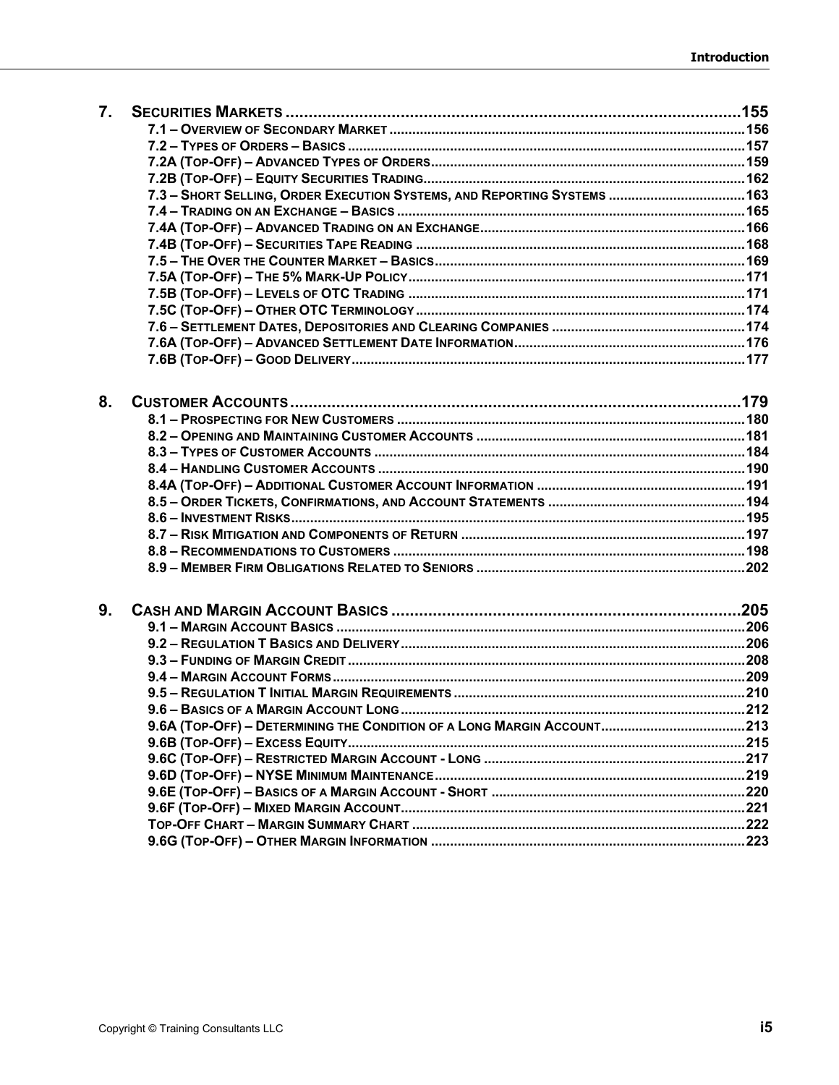| 7.             |                                                                          |  |
|----------------|--------------------------------------------------------------------------|--|
|                |                                                                          |  |
|                |                                                                          |  |
|                |                                                                          |  |
|                |                                                                          |  |
|                | 7.3 - SHORT SELLING, ORDER EXECUTION SYSTEMS, AND REPORTING SYSTEMS  163 |  |
|                |                                                                          |  |
|                |                                                                          |  |
|                |                                                                          |  |
|                |                                                                          |  |
|                |                                                                          |  |
|                |                                                                          |  |
|                |                                                                          |  |
|                |                                                                          |  |
|                |                                                                          |  |
|                |                                                                          |  |
|                |                                                                          |  |
| 8.             |                                                                          |  |
|                |                                                                          |  |
|                |                                                                          |  |
|                |                                                                          |  |
|                |                                                                          |  |
|                |                                                                          |  |
|                |                                                                          |  |
|                |                                                                          |  |
|                |                                                                          |  |
|                |                                                                          |  |
|                |                                                                          |  |
| 9 <sub>1</sub> |                                                                          |  |
|                |                                                                          |  |
|                |                                                                          |  |
|                |                                                                          |  |
|                |                                                                          |  |
|                |                                                                          |  |
|                |                                                                          |  |
|                |                                                                          |  |
|                |                                                                          |  |
|                |                                                                          |  |
|                |                                                                          |  |
|                |                                                                          |  |
|                |                                                                          |  |
|                |                                                                          |  |
|                |                                                                          |  |
|                |                                                                          |  |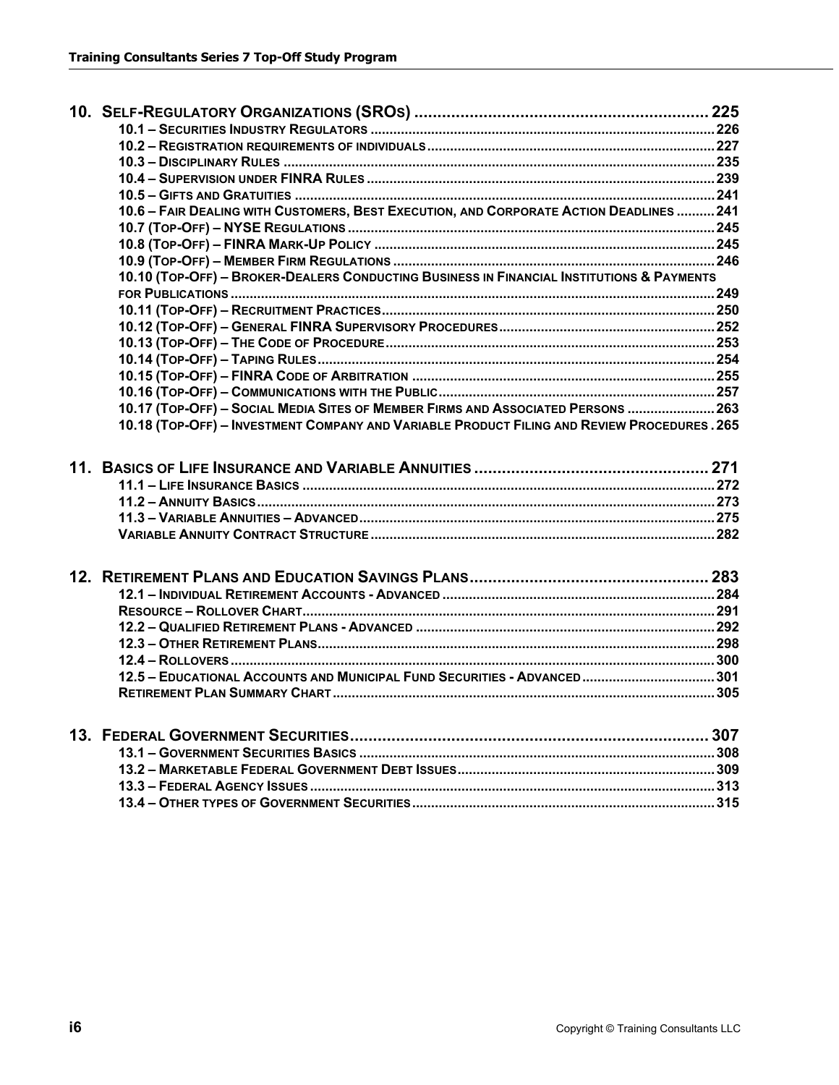|  | 10.6 - FAIR DEALING WITH CUSTOMERS, BEST EXECUTION, AND CORPORATE ACTION DEADLINES  241     |  |
|--|---------------------------------------------------------------------------------------------|--|
|  |                                                                                             |  |
|  |                                                                                             |  |
|  |                                                                                             |  |
|  | 10.10 (TOP-OFF) - BROKER-DEALERS CONDUCTING BUSINESS IN FINANCIAL INSTITUTIONS & PAYMENTS   |  |
|  |                                                                                             |  |
|  |                                                                                             |  |
|  |                                                                                             |  |
|  |                                                                                             |  |
|  |                                                                                             |  |
|  |                                                                                             |  |
|  |                                                                                             |  |
|  | 10.17 (TOP-OFF) - SOCIAL MEDIA SITES OF MEMBER FIRMS AND ASSOCIATED PERSONS  263            |  |
|  | 10.18 (TOP-OFF) - INVESTMENT COMPANY AND VARIABLE PRODUCT FILING AND REVIEW PROCEDURES. 265 |  |
|  |                                                                                             |  |
|  |                                                                                             |  |
|  |                                                                                             |  |
|  |                                                                                             |  |
|  |                                                                                             |  |
|  |                                                                                             |  |
|  |                                                                                             |  |
|  |                                                                                             |  |
|  |                                                                                             |  |
|  |                                                                                             |  |
|  |                                                                                             |  |
|  |                                                                                             |  |
|  | 12.5 - EDUCATIONAL ACCOUNTS AND MUNICIPAL FUND SECURITIES - ADVANCED301                     |  |
|  |                                                                                             |  |
|  |                                                                                             |  |
|  |                                                                                             |  |
|  |                                                                                             |  |
|  |                                                                                             |  |
|  |                                                                                             |  |
|  |                                                                                             |  |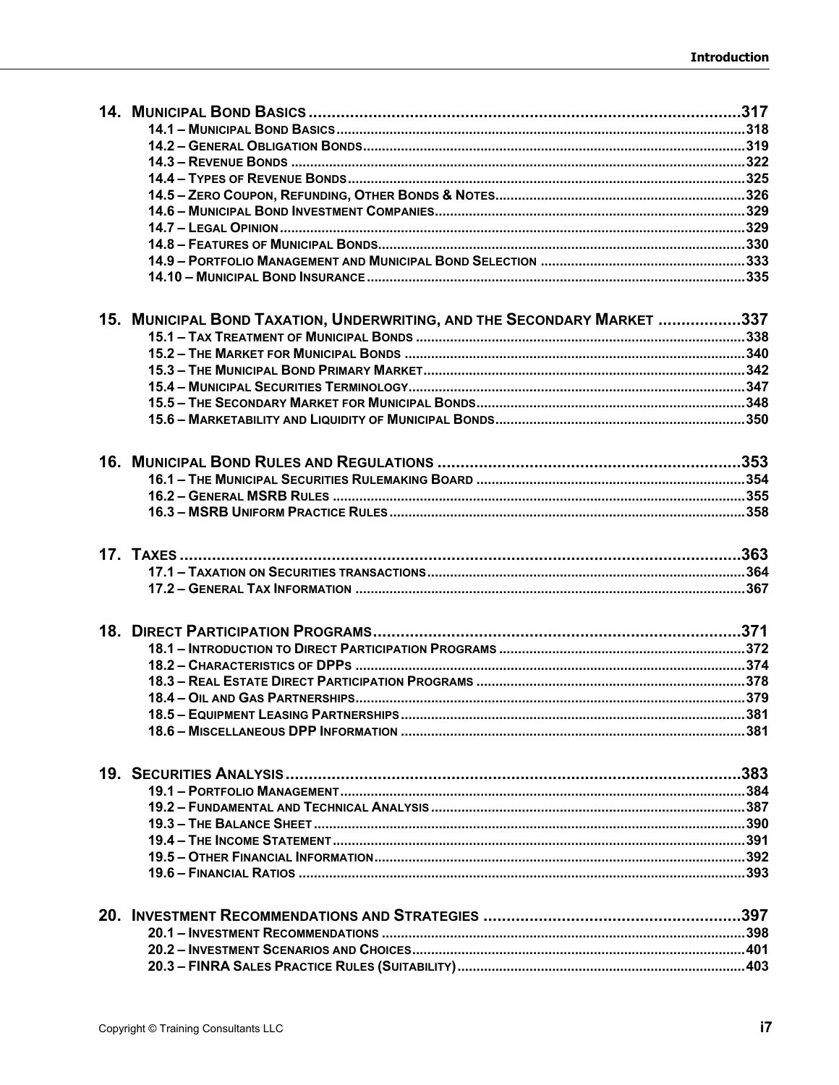|  | 15. MUNICIPAL BOND TAXATION, UNDERWRITING, AND THE SECONDARY MARKET 337 |  |
|--|-------------------------------------------------------------------------|--|
|  |                                                                         |  |
|  |                                                                         |  |
|  |                                                                         |  |
|  |                                                                         |  |
|  |                                                                         |  |
|  |                                                                         |  |
|  |                                                                         |  |
|  |                                                                         |  |
|  |                                                                         |  |
|  |                                                                         |  |
|  |                                                                         |  |
|  |                                                                         |  |
|  |                                                                         |  |
|  |                                                                         |  |
|  |                                                                         |  |
|  |                                                                         |  |
|  |                                                                         |  |
|  |                                                                         |  |
|  |                                                                         |  |
|  |                                                                         |  |
|  |                                                                         |  |
|  |                                                                         |  |
|  |                                                                         |  |
|  |                                                                         |  |
|  |                                                                         |  |
|  |                                                                         |  |
|  |                                                                         |  |
|  |                                                                         |  |
|  |                                                                         |  |
|  |                                                                         |  |
|  |                                                                         |  |